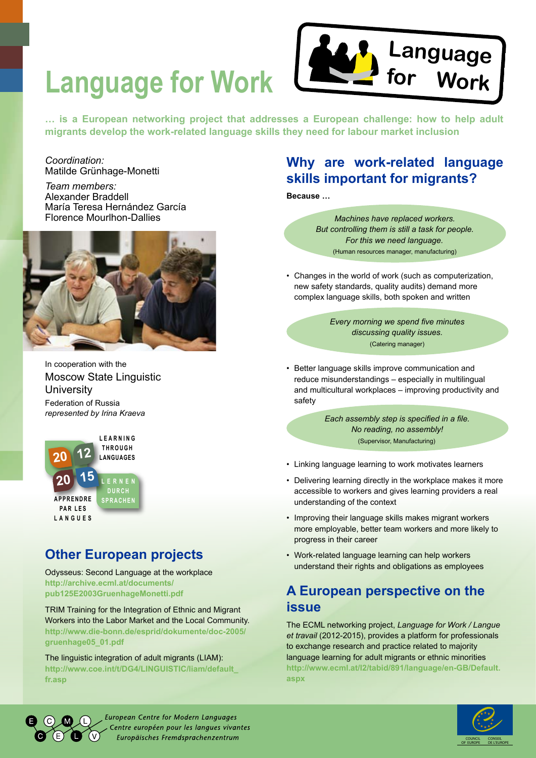

**Language for Work**

**… is a European networking project that addresses a European challenge: how to help adult migrants develop the work-related language skills they need for labour market inclusion**

### *Coordination:*  Matilde Grünhage-Monetti

*Team members:*  Alexander Braddell María Teresa Hernández García Florence Mourlhon-Dallies



*represented by Irina Kraeva* Moscow State Linguistic **University** In cooperation with the Federation of Russia



# **Other European projects**

Odysseus: Second Language at the workplace **http://archive.ecml.at/documents/ pub125E2003GruenhageMonetti.pdf**

TRIM Training for the Integration of Ethnic and Migrant Workers into the Labor Market and the Local Community. **http://www.die-bonn.de/esprid/dokumente/doc-2005/ gruenhage05\_01.pdf**

The linguistic integration of adult migrants (LIAM): **http://www.coe.int/t/DG4/LINGUISTIC/liam/default\_ fr.asp**

## **Why are work-related language skills important for migrants?**

**Because …** 

*Machines have replaced workers. But controlling them is still a task for people. For this we need language.*  (Human resources manager, manufacturing)

• Changes in the world of work (such as computerization, new safety standards, quality audits) demand more complex language skills, both spoken and written

> *Every morning we spend five minutes discussing quality issues.*  (Catering manager)

• Better language skills improve communication and reduce misunderstandings – especially in multilingual and multicultural workplaces – improving productivity and safety

> *Each assembly step is specified in a file. No reading, no assembly!* (Supervisor, Manufacturing)

- • Linking language learning to work motivates learners
- Delivering learning directly in the workplace makes it more accessible to workers and gives learning providers a real understanding of the context
- Improving their language skills makes migrant workers more employable, better team workers and more likely to progress in their career
- Work-related language learning can help workers understand their rights and obligations as employees

## **A European perspective on the issue**

The ECML networking project, *Language for Work / Langue et travail* (2012-2015), provides a platform for professionals to exchange research and practice related to majority language learning for adult migrants or ethnic minorities **http://www.ecml.at/I2/tabid/891/language/en-GB/Default. aspx**